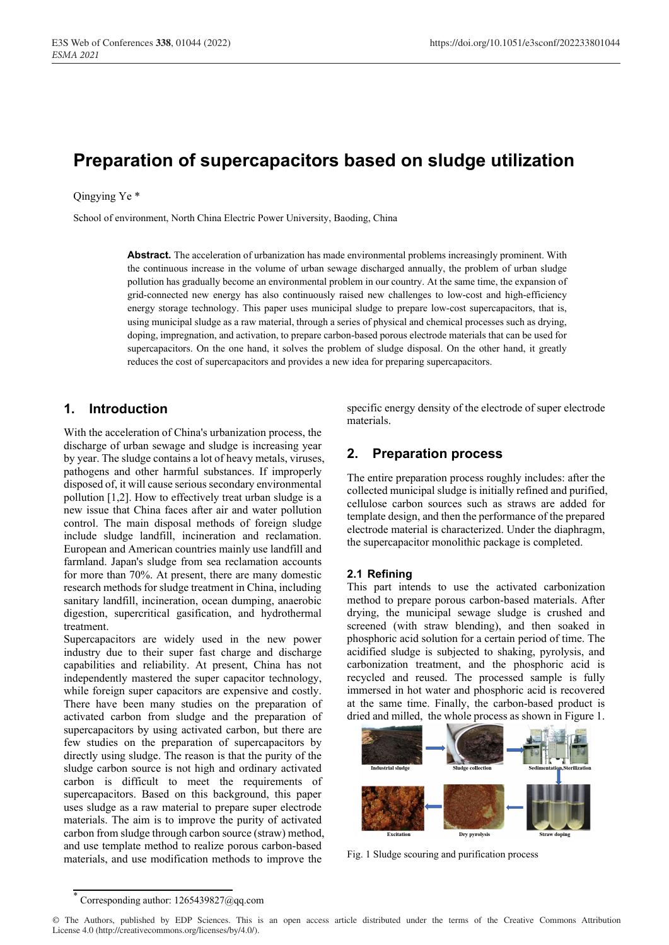# **Preparation of supercapacitors based on sludge utilization**

#### Qingying Ye \*

School of environment, North China Electric Power University, Baoding, China

**Abstract.** The acceleration of urbanization has made environmental problems increasingly prominent. With the continuous increase in the volume of urban sewage discharged annually, the problem of urban sludge pollution has gradually become an environmental problem in our country. At the same time, the expansion of grid-connected new energy has also continuously raised new challenges to low-cost and high-efficiency energy storage technology. This paper uses municipal sludge to prepare low-cost supercapacitors, that is, using municipal sludge as a raw material, through a series of physical and chemical processes such as drying, doping, impregnation, and activation, to prepare carbon-based porous electrode materials that can be used for supercapacitors. On the one hand, it solves the problem of sludge disposal. On the other hand, it greatly reduces the cost of supercapacitors and provides a new idea for preparing supercapacitors.

# **1. Introduction**

With the acceleration of China's urbanization process, the discharge of urban sewage and sludge is increasing year by year. The sludge contains a lot of heavy metals, viruses, pathogens and other harmful substances. If improperly disposed of, it will cause serious secondary environmental pollution [1,2]. How to effectively treat urban sludge is a new issue that China faces after air and water pollution control. The main disposal methods of foreign sludge include sludge landfill, incineration and reclamation. European and American countries mainly use landfill and farmland. Japan's sludge from sea reclamation accounts for more than 70%. At present, there are many domestic research methods for sludge treatment in China, including sanitary landfill, incineration, ocean dumping, anaerobic digestion, supercritical gasification, and hydrothermal treatment.

Supercapacitors are widely used in the new power industry due to their super fast charge and discharge capabilities and reliability. At present, China has not independently mastered the super capacitor technology, while foreign super capacitors are expensive and costly. There have been many studies on the preparation of activated carbon from sludge and the preparation of supercapacitors by using activated carbon, but there are few studies on the preparation of supercapacitors by directly using sludge. The reason is that the purity of the sludge carbon source is not high and ordinary activated carbon is difficult to meet the requirements of supercapacitors. Based on this background, this paper uses sludge as a raw material to prepare super electrode materials. The aim is to improve the purity of activated carbon from sludge through carbon source (straw) method, and use template method to realize porous carbon-based materials, and use modification methods to improve the

specific energy density of the electrode of super electrode materials.

# **2. Preparation process**

The entire preparation process roughly includes: after the collected municipal sludge is initially refined and purified, cellulose carbon sources such as straws are added for template design, and then the performance of the prepared electrode material is characterized. Under the diaphragm, the supercapacitor monolithic package is completed.

## **2.1 Refining**

This part intends to use the activated carbonization method to prepare porous carbon-based materials. After drying, the municipal sewage sludge is crushed and screened (with straw blending), and then soaked in phosphoric acid solution for a certain period of time. The acidified sludge is subjected to shaking, pyrolysis, and carbonization treatment, and the phosphoric acid is recycled and reused. The processed sample is fully immersed in hot water and phosphoric acid is recovered at the same time. Finally, the carbon-based product is dried and milled, the whole process as shown in Figure 1.



Fig. 1 Sludge scouring and purification process

<sup>\*</sup> Corresponding author: 1265439827@qq.com

<sup>©</sup> The Authors, published by EDP Sciences. This is an open access article distributed under the terms of the Creative Commons Attribution License 4.0 (http://creativecommons.org/licenses/by/4.0/).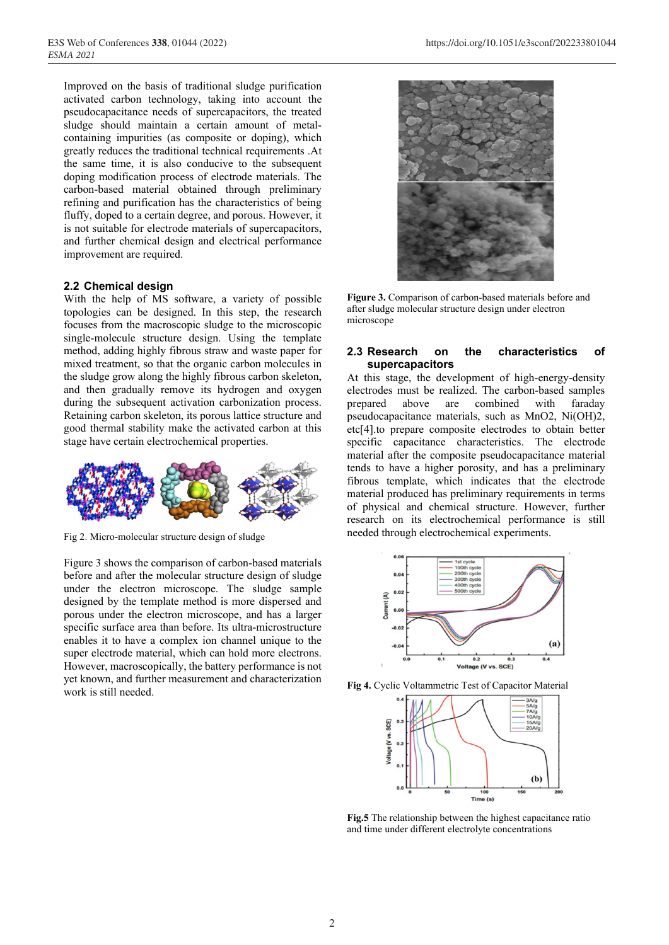Improved on the basis of traditional sludge purification activated carbon technology, taking into account the pseudocapacitance needs of supercapacitors, the treated sludge should maintain a certain amount of metalcontaining impurities (as composite or doping), which greatly reduces the traditional technical requirements .At the same time, it is also conducive to the subsequent doping modification process of electrode materials. The carbon-based material obtained through preliminary refining and purification has the characteristics of being fluffy, doped to a certain degree, and porous. However, it is not suitable for electrode materials of supercapacitors, and further chemical design and electrical performance improvement are required.

#### **2.2 Chemical design**

With the help of MS software, a variety of possible topologies can be designed. In this step, the research focuses from the macroscopic sludge to the microscopic single-molecule structure design. Using the template method, adding highly fibrous straw and waste paper for mixed treatment, so that the organic carbon molecules in the sludge grow along the highly fibrous carbon skeleton, and then gradually remove its hydrogen and oxygen during the subsequent activation carbonization process. Retaining carbon skeleton, its porous lattice structure and good thermal stability make the activated carbon at this stage have certain electrochemical properties.



Fig 2. Micro-molecular structure design of sludge

Figure 3 shows the comparison of carbon-based materials before and after the molecular structure design of sludge under the electron microscope. The sludge sample designed by the template method is more dispersed and porous under the electron microscope, and has a larger specific surface area than before. Its ultra-microstructure enables it to have a complex ion channel unique to the super electrode material, which can hold more electrons. However, macroscopically, the battery performance is not yet known, and further measurement and characterization work is still needed.



**Figure 3.** Comparison of carbon-based materials before and after sludge molecular structure design under electron microscope

#### **2.3 Research on the characteristics of supercapacitors**

At this stage, the development of high-energy-density electrodes must be realized. The carbon-based samples prepared above are combined with faraday pseudocapacitance materials, such as MnO2, Ni(OH)2, etc[4].to prepare composite electrodes to obtain better specific capacitance characteristics. The electrode material after the composite pseudocapacitance material tends to have a higher porosity, and has a preliminary fibrous template, which indicates that the electrode material produced has preliminary requirements in terms of physical and chemical structure. However, further research on its electrochemical performance is still needed through electrochemical experiments.







**Fig.5** The relationship between the highest capacitance ratio and time under different electrolyte concentrations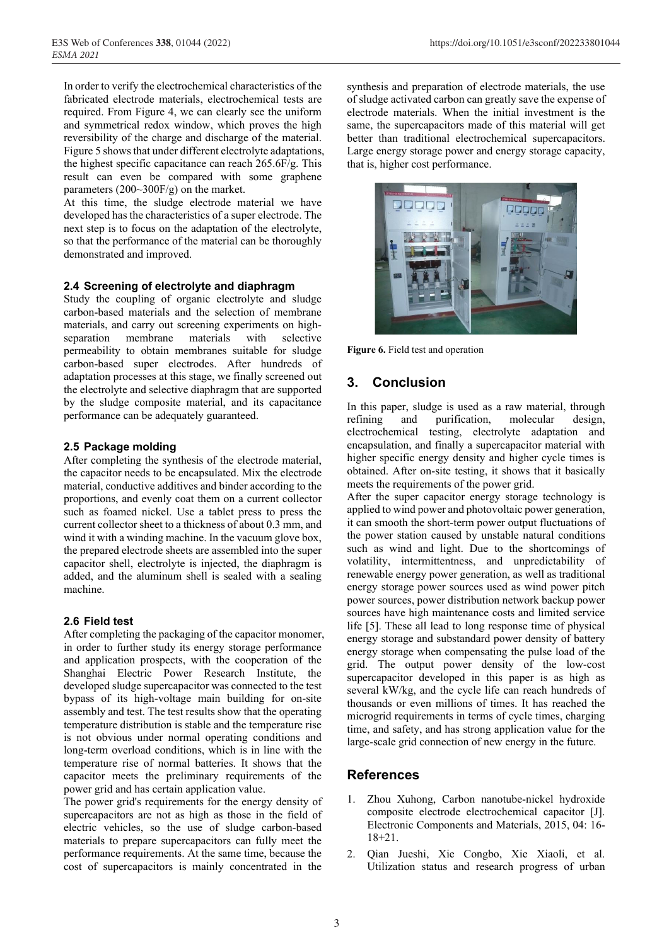In order to verify the electrochemical characteristics of the fabricated electrode materials, electrochemical tests are required. From Figure 4, we can clearly see the uniform and symmetrical redox window, which proves the high reversibility of the charge and discharge of the material. Figure 5 shows that under different electrolyte adaptations, the highest specific capacitance can reach 265.6F/g. This result can even be compared with some graphene parameters (200~300F/g) on the market.

At this time, the sludge electrode material we have developed has the characteristics of a super electrode. The next step is to focus on the adaptation of the electrolyte, so that the performance of the material can be thoroughly demonstrated and improved.

## **2.4 Screening of electrolyte and diaphragm**

Study the coupling of organic electrolyte and sludge carbon-based materials and the selection of membrane materials, and carry out screening experiments on highseparation membrane materials with selective permeability to obtain membranes suitable for sludge carbon-based super electrodes. After hundreds of adaptation processes at this stage, we finally screened out the electrolyte and selective diaphragm that are supported by the sludge composite material, and its capacitance performance can be adequately guaranteed.

## **2.5 Package molding**

After completing the synthesis of the electrode material, the capacitor needs to be encapsulated. Mix the electrode material, conductive additives and binder according to the proportions, and evenly coat them on a current collector such as foamed nickel. Use a tablet press to press the current collector sheet to a thickness of about 0.3 mm, and wind it with a winding machine. In the vacuum glove box, the prepared electrode sheets are assembled into the super capacitor shell, electrolyte is injected, the diaphragm is added, and the aluminum shell is sealed with a sealing machine.

## **2.6 Field test**

After completing the packaging of the capacitor monomer, in order to further study its energy storage performance and application prospects, with the cooperation of the Shanghai Electric Power Research Institute, the developed sludge supercapacitor was connected to the test bypass of its high-voltage main building for on-site assembly and test. The test results show that the operating temperature distribution is stable and the temperature rise is not obvious under normal operating conditions and long-term overload conditions, which is in line with the temperature rise of normal batteries. It shows that the capacitor meets the preliminary requirements of the power grid and has certain application value.

The power grid's requirements for the energy density of supercapacitors are not as high as those in the field of electric vehicles, so the use of sludge carbon-based materials to prepare supercapacitors can fully meet the performance requirements. At the same time, because the cost of supercapacitors is mainly concentrated in the

synthesis and preparation of electrode materials, the use of sludge activated carbon can greatly save the expense of electrode materials. When the initial investment is the same, the supercapacitors made of this material will get better than traditional electrochemical supercapacitors. Large energy storage power and energy storage capacity, that is, higher cost performance.



**Figure 6.** Field test and operation

# **3. Conclusion**

In this paper, sludge is used as a raw material, through refining and purification, molecular design, electrochemical testing, electrolyte adaptation and encapsulation, and finally a supercapacitor material with higher specific energy density and higher cycle times is obtained. After on-site testing, it shows that it basically meets the requirements of the power grid.

After the super capacitor energy storage technology is applied to wind power and photovoltaic power generation, it can smooth the short-term power output fluctuations of the power station caused by unstable natural conditions such as wind and light. Due to the shortcomings of volatility, intermittentness, and unpredictability of renewable energy power generation, as well as traditional energy storage power sources used as wind power pitch power sources, power distribution network backup power sources have high maintenance costs and limited service life [5]. These all lead to long response time of physical energy storage and substandard power density of battery energy storage when compensating the pulse load of the grid. The output power density of the low-cost supercapacitor developed in this paper is as high as several kW/kg, and the cycle life can reach hundreds of thousands or even millions of times. It has reached the microgrid requirements in terms of cycle times, charging time, and safety, and has strong application value for the large-scale grid connection of new energy in the future.

# **References**

- 1. Zhou Xuhong, Carbon nanotube-nickel hydroxide composite electrode electrochemical capacitor [J]. Electronic Components and Materials, 2015, 04: 16- 18+21.
- 2. Qian Jueshi, Xie Congbo, Xie Xiaoli, et al. Utilization status and research progress of urban